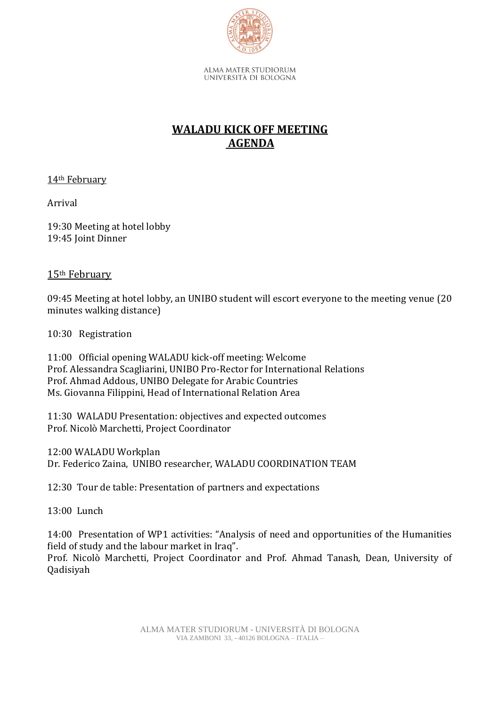

UNIVERSITÀ DI BOLOGNA

# **WALADU KICK OFF MEETING AGENDA**

14th February

Arrival

19:30 Meeting at hotel lobby 19:45 Joint Dinner

### 15th February

09:45 Meeting at hotel lobby, an UNIBO student will escort everyone to the meeting venue (20 minutes walking distance)

10:30 Registration

11:00 Official opening WALADU kick-off meeting: Welcome Prof. Alessandra Scagliarini, UNIBO Pro-Rector for International Relations Prof. Ahmad Addous, UNIBO Delegate for Arabic Countries Ms. Giovanna Filippini, Head of International Relation Area

11:30 WALADU Presentation: objectives and expected outcomes Prof. Nicolò Marchetti, Project Coordinator

12:00 WALADU Workplan Dr. Federico Zaina, UNIBO researcher, WALADU COORDINATION TEAM

12:30 Tour de table: Presentation of partners and expectations

13:00 Lunch

14:00 Presentation of WP1 activities: "Analysis of need and opportunities of the Humanities field of study and the labour market in Iraq".

Prof. Nicolò Marchetti, Project Coordinator and Prof. Ahmad Tanash, Dean, University of Qadisiyah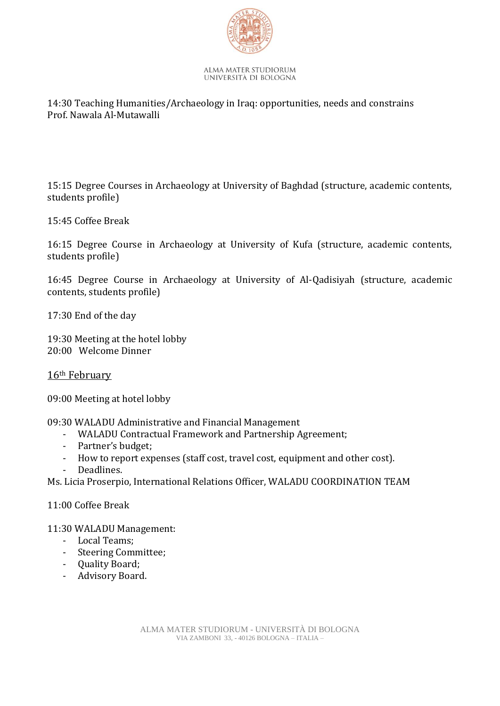

#### ALMA MATER STUDIORUM UNIVERSITÀ DI BOLOGNA

### 14:30 Teaching Humanities/Archaeology in Iraq: opportunities, needs and constrains Prof. Nawala Al-Mutawalli

15:15 Degree Courses in Archaeology at University of Baghdad (structure, academic contents, students profile)

15:45 Coffee Break

16:15 Degree Course in Archaeology at University of Kufa (structure, academic contents, students profile)

16:45 Degree Course in Archaeology at University of Al-Qadisiyah (structure, academic contents, students profile)

17:30 End of the day

19:30 Meeting at the hotel lobby 20:00 Welcome Dinner

### 16th February

09:00 Meeting at hotel lobby

09:30 WALADU Administrative and Financial Management

- WALADU Contractual Framework and Partnership Agreement;
- Partner's budget;
- How to report expenses (staff cost, travel cost, equipment and other cost).
- Deadlines.

Ms. Licia Proserpio, International Relations Officer, WALADU COORDINATION TEAM

11:00 Coffee Break

11:30 WALADU Management:

- Local Teams;
- Steering Committee;
- Quality Board;
- Advisory Board.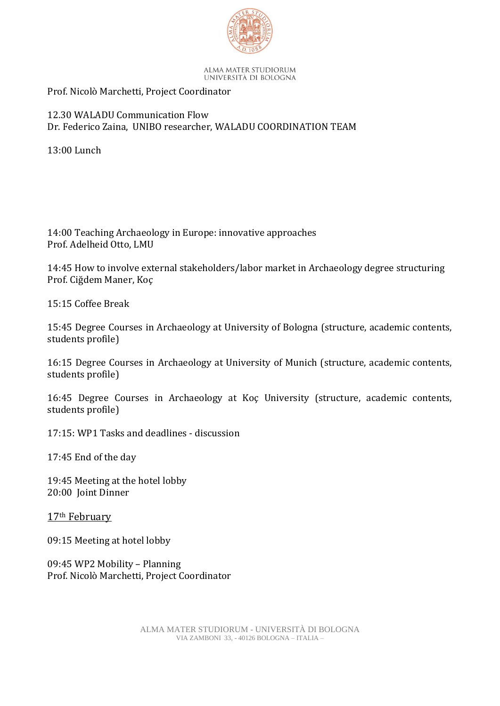

#### ALMA MATER STUDIORUM UNIVERSITÀ DI BOLOGNA

# Prof. Nicolò Marchetti, Project Coordinator

## 12.30 WALADU Communication Flow Dr. Federico Zaina, UNIBO researcher, WALADU COORDINATION TEAM

13:00 Lunch

14:00 Teaching Archaeology in Europe: innovative approaches Prof. Adelheid Otto, LMU

14:45 How to involve external stakeholders/labor market in Archaeology degree structuring Prof. Ciğdem Maner, Koç

15:15 Coffee Break

15:45 Degree Courses in Archaeology at University of Bologna (structure, academic contents, students profile)

16:15 Degree Courses in Archaeology at University of Munich (structure, academic contents, students profile)

16:45 Degree Courses in Archaeology at Koç University (structure, academic contents, students profile)

17:15: WP1 Tasks and deadlines - discussion

17:45 End of the day

19:45 Meeting at the hotel lobby 20:00 Joint Dinner

17th February

09:15 Meeting at hotel lobby

09:45 WP2 Mobility – Planning Prof. Nicolò Marchetti, Project Coordinator